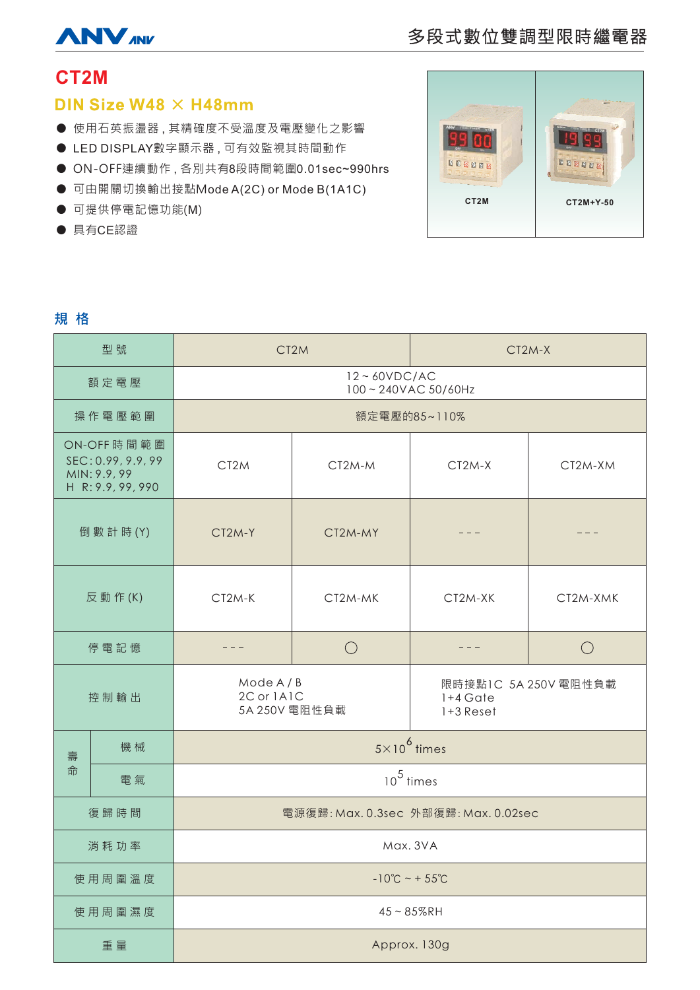

# 多段式數位雙調型限時繼電器

# CT<sub>2</sub>M

# DIN Size W48  $\times$  H48mm

- 使用石英振盪器,其精確度不受溫度及電壓變化之影響
- LED DISPLAY數字顯示器,可有效監視其時間動作
- ON-OFF連續動作, 各別共有8段時間範圍0.01sec~990hrs
- 可由開關切換輸出接點Mode A(2C) or Mode B(1A1C)
- 可提供停電記憶功能(M)
- 具有CE認證



# 規格

| 型號                                                                     |    | CT <sub>2</sub> M                           |           | CT <sub>2</sub> M-X                               |            |
|------------------------------------------------------------------------|----|---------------------------------------------|-----------|---------------------------------------------------|------------|
| 額定電壓                                                                   |    | $12 \sim 60 VDC/AC$<br>100 ~ 240VAC 50/60Hz |           |                                                   |            |
| 操作電壓範圍                                                                 |    | 額定電壓的85~110%                                |           |                                                   |            |
| ON-OFF 時間範圍<br>SEC: 0.99, 9.9, 99<br>MIN: 9.9, 99<br>H R: 9.9, 99, 990 |    | CT <sub>2</sub> M                           | CT2M-M    | CT2M-X                                            | CT2M-XM    |
| 倒 數 計 時 (Y)                                                            |    | CT <sub>2</sub> M-Y                         | CT2M-MY   |                                                   |            |
| 反動作(K)                                                                 |    | CT2M-K                                      | CT2M-MK   | CT2M-XK                                           | CT2M-XMK   |
| 停電記憶                                                                   |    |                                             | $\bigcap$ |                                                   | $\bigcirc$ |
| 控制輸出                                                                   |    | Mode A / B<br>2C or 1A1C<br>5A 250V 電阻性負載   |           | 限時接點1C 5A 250V 電阻性負載<br>$1+4$ Gate<br>$1+3$ Reset |            |
| 壽                                                                      | 機械 | $5\times10^6$ times                         |           |                                                   |            |
| 命                                                                      | 電氣 | $10^5$ times                                |           |                                                   |            |
| 復歸時間                                                                   |    | 電源復歸: Max. 0.3sec 外部復歸: Max. 0.02sec        |           |                                                   |            |
| 消耗功率                                                                   |    | Max. 3VA                                    |           |                                                   |            |
| 使用周圍溫度                                                                 |    | $-10^{\circ}C - 55^{\circ}C$                |           |                                                   |            |
| 使用周圍濕度                                                                 |    | $45 - 85%$ RH                               |           |                                                   |            |
| 重量                                                                     |    | Approx. 130g                                |           |                                                   |            |